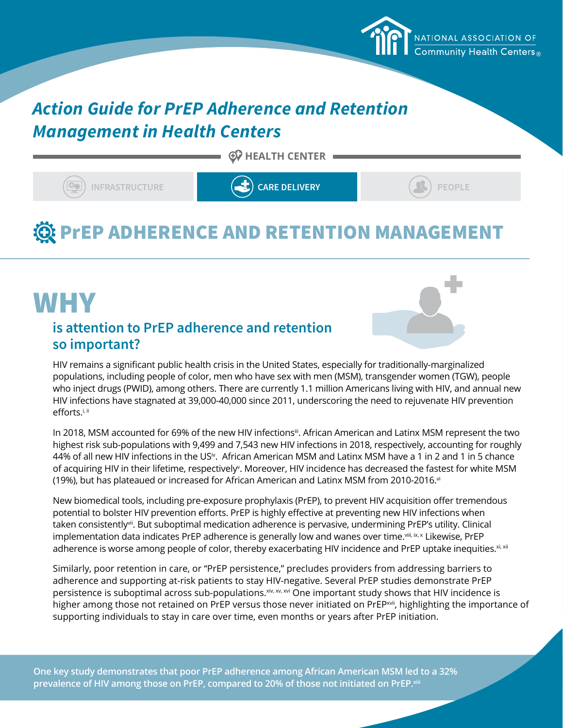### *Action Guide for PrEP Adherence and Retention Management in Health Centers*

 $\odot$  HEALTH CENTER

**INFRASTRUCTURE CARE DELIVERY CARE DELIVERY** (3) PEOPLE

ommunity Health Centers.

NATIONAL ASSOCIATION OF

## **@ PrEP ADHERENCE AND RETENTION MANAGEMENT**

### **is attention to PrEP adherence and retention so important?** WHY



HIV remains a significant public health crisis in the United States, especially for traditionally-marginalized populations, including people of color, men who have sex with men (MSM), transgender women (TGW), people who inject drugs (PWID), among others. There are currently 1.1 million Americans living with HIV, and annual new HIV infections have stagnated at 39,000-40,000 since 2011, underscoring the need to rejuvenate HIV prevention efforts.<sup>i, ii</sup>

In 2018, MSM accounted for 69% of the new HIV infections<sup>ii</sup>. African American and Latinx MSM represent the two highest risk sub-populations with 9,499 and 7,543 new HIV infections in 2018, respectively, accounting for roughly 44% of all new HIV infections in the US<sup>iv</sup>. African American MSM and Latinx MSM have a 1 in 2 and 1 in 5 chance of acquiring HIV in their lifetime, respectively<sup>v</sup>. Moreover, HIV incidence has decreased the fastest for white MSM (19%), but has plateaued or increased for African American and Latinx MSM from 2010-2016. $vi$ 

New biomedical tools, including pre-exposure prophylaxis (PrEP), to prevent HIV acquisition offer tremendous potential to bolster HIV prevention efforts. PrEP is highly effective at preventing new HIV infections when taken consistentlyvii. But suboptimal medication adherence is pervasive, undermining PrEP's utility. Clinical implementation data indicates PrEP adherence is generally low and wanes over time.viii, ix, x Likewise, PrEP adherence is worse among people of color, thereby exacerbating HIV incidence and PrEP uptake inequities.<sup>xi, xii</sup>

Similarly, poor retention in care, or "PrEP persistence," precludes providers from addressing barriers to adherence and supporting at-risk patients to stay HIV-negative. Several PrEP studies demonstrate PrEP persistence is suboptimal across sub-populations.<sup>xiv, xv</sup>, xvi One important study shows that HIV incidence is higher among those not retained on PrEP versus those never initiated on PrEP<sup>xvii</sup>, highlighting the importance of supporting individuals to stay in care over time, even months or years after PrEP initiation.

**One key study demonstrates that poor PrEP adherence among African American MSM led to a 32%**  prevalence of HIV among those on PrEP, compared to 20% of those not initiated on PrEP.<sup>xiii</sup>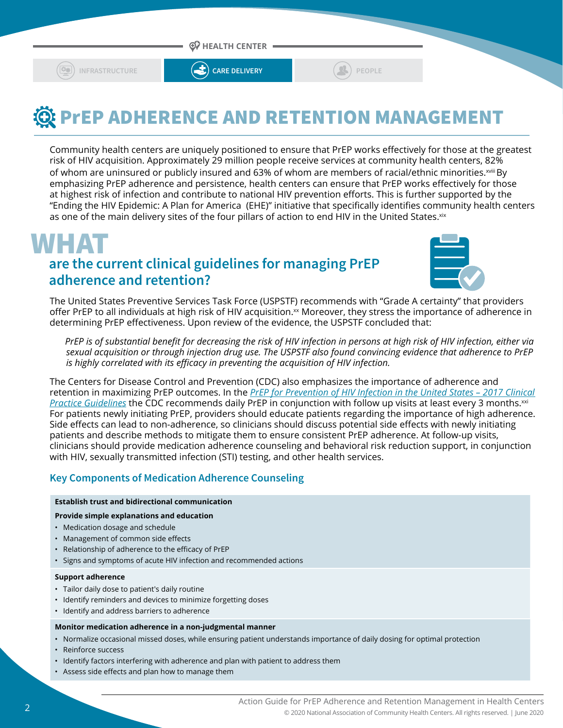



## **We PrEP ADHERENCE AND RETENTION MANAGEMENT**

Community health centers are uniquely positioned to ensure that PrEP works effectively for those at the greatest risk of HIV acquisition. Approximately 29 million people receive services at community health centers, 82% of whom are uninsured or publicly insured and 63% of whom are members of racial/ethnic minorities. xviii By emphasizing PrEP adherence and persistence, health centers can ensure that PrEP works effectively for those at highest risk of infection and contribute to national HIV prevention efforts. This is further supported by the "Ending the HIV Epidemic: A Plan for America (EHE)" initiative that specifically identifies community health centers as one of the main delivery sites of the four pillars of action to end HIV in the United States. xix

### **are the current clinical guidelines for managing PrEP adherence and retention? WHAT**



The United States Preventive Services Task Force (USPSTF) recommends with "Grade A certainty" that providers offer PrEP to all individuals at high risk of HIV acquisition.<sup>xx</sup> Moreover, they stress the importance of adherence in determining PrEP effectiveness. Upon review of the evidence, the USPSTF concluded that:

 *PrEP is of substantial benefit for decreasing the risk of HIV infection in persons at high risk of HIV infection, either via sexual acquisition or through injection drug use. The USPSTF also found convincing evidence that adherence to PrEP is highly correlated with its efficacy in preventing the acquisition of HIV infection.*

The Centers for Disease Control and Prevention (CDC) also emphasizes the importance of adherence and retention in maximizing PrEP outcomes. In the *[PrEP for Prevention of HIV Infection in the United States – 2017 Clinical](https://www.cdc.gov/hiv/pdf/risk/prep/cdc-hiv-prep-guidelines-2017.pdf)  [Practice Guidelines](https://www.cdc.gov/hiv/pdf/risk/prep/cdc-hiv-prep-guidelines-2017.pdf)* the CDC recommends daily PrEP in conjunction with follow up visits at least every 3 months.<sup>xxi</sup> For patients newly initiating PrEP, providers should educate patients regarding the importance of high adherence. Side effects can lead to non-adherence, so clinicians should discuss potential side effects with newly initiating patients and describe methods to mitigate them to ensure consistent PrEP adherence. At follow-up visits, clinicians should provide medication adherence counseling and behavioral risk reduction support, in conjunction with HIV, sexually transmitted infection (STI) testing, and other health services.

### **Key Components of Medication Adherence Counseling**

#### **Establish trust and bidirectional communication**

#### **Provide simple explanations and education**

- Medication dosage and schedule
- Management of common side effects
- Relationship of adherence to the efficacy of PrEP
- Signs and symptoms of acute HIV infection and recommended actions

#### **Support adherence**

- Tailor daily dose to patient's daily routine
- Identify reminders and devices to minimize forgetting doses
- Identify and address barriers to adherence

#### **Monitor medication adherence in a non-judgmental manner**

- Normalize occasional missed doses, while ensuring patient understands importance of daily dosing for optimal protection
- Reinforce success
- Identify factors interfering with adherence and plan with patient to address them
- Assess side effects and plan how to manage them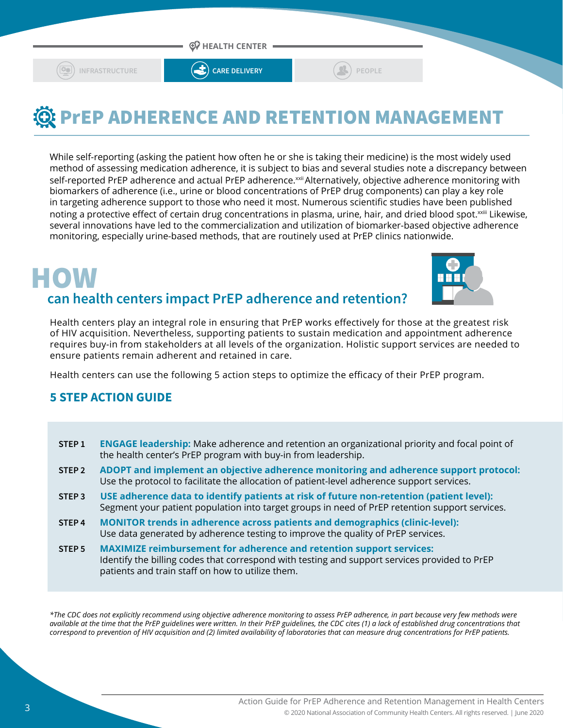

# **We PrEP ADHERENCE AND RETENTION MANAGEMENT**

While self-reporting (asking the patient how often he or she is taking their medicine) is the most widely used method of assessing medication adherence, it is subject to bias and several studies note a discrepancy between self-reported PrEP adherence and actual PrEP adherence.<sup>xxii</sup> Alternatively, objective adherence monitoring with biomarkers of adherence (i.e., urine or blood concentrations of PrEP drug components) can play a key role in targeting adherence support to those who need it most. Numerous scientific studies have been published noting a protective effect of certain drug concentrations in plasma, urine, hair, and dried blood spot.<sup>xxiii</sup> Likewise, several innovations have led to the commercialization and utilization of biomarker-based objective adherence monitoring, especially urine-based methods, that are routinely used at PrEP clinics nationwide.

## **can health centers impact PrEP adherence and retention?** HOW



Health centers play an integral role in ensuring that PrEP works effectively for those at the greatest risk of HIV acquisition. Nevertheless, supporting patients to sustain medication and appointment adherence requires buy-in from stakeholders at all levels of the organization. Holistic support services are needed to ensure patients remain adherent and retained in care.

Health centers can use the following 5 action steps to optimize the efficacy of their PrEP program.

### **5 STEP ACTION GUIDE**

- **STEP 1 ENGAGE leadership:** Make adherence and retention an organizational priority and focal point of the health center's PrEP program with buy-in from leadership.
- **STEP 2 ADOPT and implement an objective adherence monitoring and adherence support protocol:**  Use the protocol to facilitate the allocation of patient-level adherence support services.
- **STEP 3 USE adherence data to identify patients at risk of future non-retention (patient level):**  Segment your patient population into target groups in need of PrEP retention support services.
- **STEP 4 MONITOR trends in adherence across patients and demographics (clinic-level):** Use data generated by adherence testing to improve the quality of PrEP services.
- **STEP 5 MAXIMIZE reimbursement for adherence and retention support services:**  Identify the billing codes that correspond with testing and support services provided to PrEP patients and train staff on how to utilize them.

*\*The CDC does not explicitly recommend using objective adherence monitoring to assess PrEP adherence, in part because very few methods were available at the time that the PrEP guidelines were written. In their PrEP guidelines, the CDC cites (1) a lack of established drug concentrations that correspond to prevention of HIV acquisition and (2) limited availability of laboratories that can measure drug concentrations for PrEP patients.*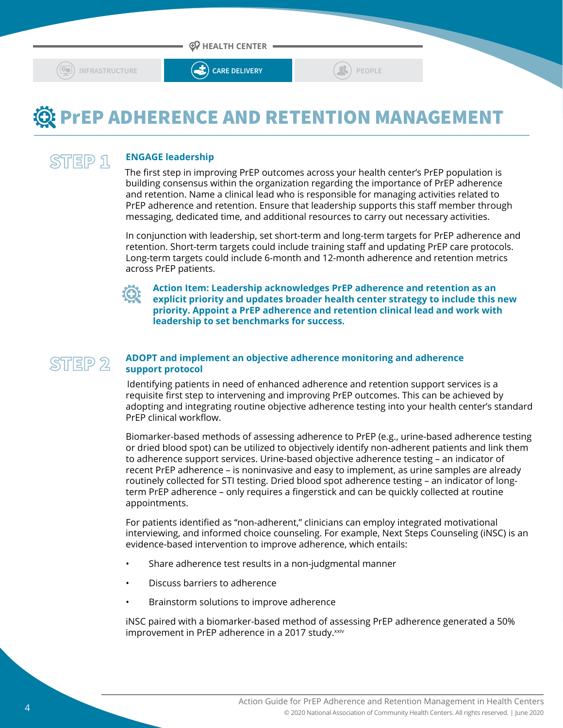

### **@ PrEP ADHERENCE AND RETENTION MANAGEMENT**

#### **ENGAGE leadership** STEP 1

The first step in improving PrEP outcomes across your health center's PrEP population is building consensus within the organization regarding the importance of PrEP adherence and retention. Name a clinical lead who is responsible for managing activities related to PrEP adherence and retention. Ensure that leadership supports this staff member through messaging, dedicated time, and additional resources to carry out necessary activities.

In conjunction with leadership, set short-term and long-term targets for PrEP adherence and retention. Short-term targets could include training staff and updating PrEP care protocols. Long-term targets could include 6-month and 12-month adherence and retention metrics across PrEP patients.



**Action Item: Leadership acknowledges PrEP adherence and retention as an explicit priority and updates broader health center strategy to include this new priority. Appoint a PrEP adherence and retention clinical lead and work with leadership to set benchmarks for success.**

#### **ADOPT and implement an objective adherence monitoring and adherence support protocol** STEP<sub>2</sub>

 Identifying patients in need of enhanced adherence and retention support services is a requisite first step to intervening and improving PrEP outcomes. This can be achieved by adopting and integrating routine objective adherence testing into your health center's standard PrEP clinical workflow.

Biomarker-based methods of assessing adherence to PrEP (e.g., urine-based adherence testing or dried blood spot) can be utilized to objectively identify non-adherent patients and link them to adherence support services. Urine-based objective adherence testing – an indicator of recent PrEP adherence – is noninvasive and easy to implement, as urine samples are already routinely collected for STI testing. Dried blood spot adherence testing – an indicator of longterm PrEP adherence – only requires a fingerstick and can be quickly collected at routine appointments.

For patients identified as "non-adherent," clinicians can employ integrated motivational interviewing, and informed choice counseling. For example, Next Steps Counseling (iNSC) is an evidence-based intervention to improve adherence, which entails:

- Share adherence test results in a non-judgmental manner
- Discuss barriers to adherence
- Brainstorm solutions to improve adherence

iNSC paired with a biomarker-based method of assessing PrEP adherence generated a 50% improvement in PrEP adherence in a 2017 study.<sup>xxiv</sup>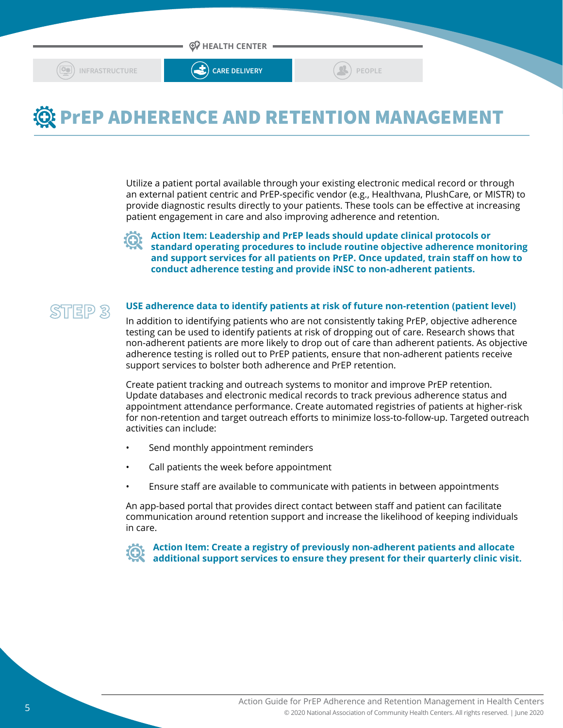

### **@ PrEP ADHERENCE AND RETENTION MANAGEMENT**

Utilize a patient portal available through your existing electronic medical record or through an external patient centric and PrEP-specific vendor (e.g., Healthvana, PlushCare, or MISTR) to provide diagnostic results directly to your patients. These tools can be effective at increasing patient engagement in care and also improving adherence and retention.

**Action Item: Leadership and PrEP leads should update clinical protocols or standard operating procedures to include routine objective adherence monitoring and support services for all patients on PrEP. Once updated, train staff on how to conduct adherence testing and provide iNSC to non-adherent patients.** 

### STEP 3

#### **USE adherence data to identify patients at risk of future non-retention (patient level)**

In addition to identifying patients who are not consistently taking PrEP, objective adherence testing can be used to identify patients at risk of dropping out of care. Research shows that non-adherent patients are more likely to drop out of care than adherent patients. As objective adherence testing is rolled out to PrEP patients, ensure that non-adherent patients receive support services to bolster both adherence and PrEP retention.

Create patient tracking and outreach systems to monitor and improve PrEP retention. Update databases and electronic medical records to track previous adherence status and appointment attendance performance. Create automated registries of patients at higher-risk for non-retention and target outreach efforts to minimize loss-to-follow-up. Targeted outreach activities can include:

- Send monthly appointment reminders
- Call patients the week before appointment
- Ensure staff are available to communicate with patients in between appointments

An app-based portal that provides direct contact between staff and patient can facilitate communication around retention support and increase the likelihood of keeping individuals in care.

**Action Item: Create a registry of previously non-adherent patients and allocate additional support services to ensure they present for their quarterly clinic visit.**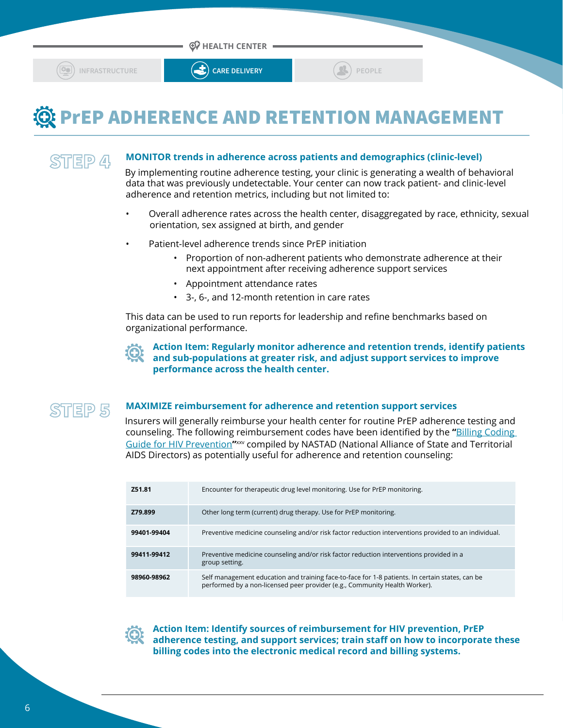



### **@ PrEP ADHERENCE AND RETENTION MANAGEMENT**

STEP 4

### **MONITOR trends in adherence across patients and demographics (clinic-level)**

By implementing routine adherence testing, your clinic is generating a wealth of behavioral data that was previously undetectable. Your center can now track patient- and clinic-level adherence and retention metrics, including but not limited to:

- Overall adherence rates across the health center, disaggregated by race, ethnicity, sexual orientation, sex assigned at birth, and gender
- Patient-level adherence trends since PrEP initiation
	- Proportion of non-adherent patients who demonstrate adherence at their next appointment after receiving adherence support services
	- Appointment attendance rates
	- 3-, 6-, and 12-month retention in care rates

This data can be used to run reports for leadership and refine benchmarks based on organizational performance.

**Action Item: Regularly monitor adherence and retention trends, identify patients and sub-populations at greater risk, and adjust support services to improve performance across the health center.**



#### **MAXIMIZE reimbursement for adherence and retention support services**

Insurers will generally reimburse your health center for routine PrEP adherence testing and counseling. The following reimbursement codes have been identified by the **"**[Billing Coding](https://www.nastad.org/resource/billing-coding-guide-hiv-prevention)  [Guide for HIV Prevention](https://www.nastad.org/resource/billing-coding-guide-hiv-prevention)**"**xxv compiled by NASTAD (National Alliance of State and Territorial AIDS Directors) as potentially useful for adherence and retention counseling:

| Z51.81      | Encounter for therapeutic drug level monitoring. Use for PrEP monitoring.                                                                                                     |
|-------------|-------------------------------------------------------------------------------------------------------------------------------------------------------------------------------|
| Z79.899     | Other long term (current) drug therapy. Use for PrEP monitoring.                                                                                                              |
| 99401-99404 | Preventive medicine counseling and/or risk factor reduction interventions provided to an individual.                                                                          |
| 99411-99412 | Preventive medicine counseling and/or risk factor reduction interventions provided in a<br>group setting.                                                                     |
| 98960-98962 | Self management education and training face-to-face for 1-8 patients. In certain states, can be<br>performed by a non-licensed peer provider (e.g., Community Health Worker). |

**Action Item: Identify sources of reimbursement for HIV prevention, PrEP adherence testing, and support services; train staff on how to incorporate these billing codes into the electronic medical record and billing systems.**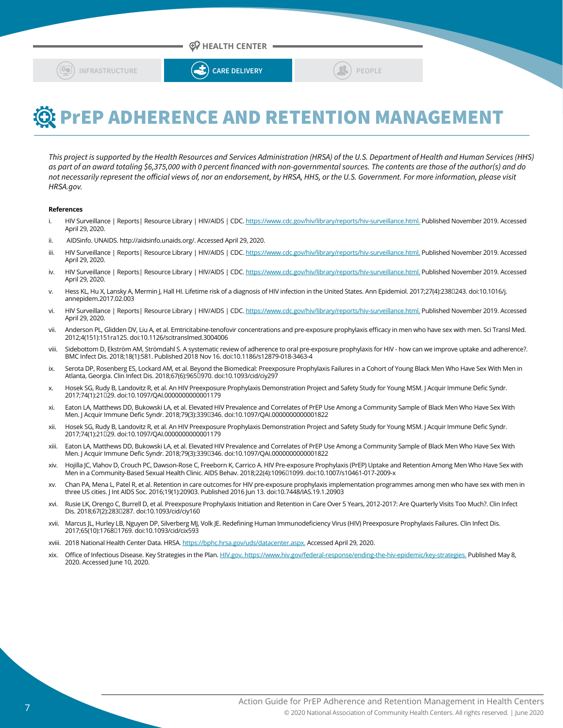



## **We PrEP ADHERENCE AND RETENTION MANAGEMENT**

*This project is supported by the Health Resources and Services Administration (HRSA) of the U.S. Department of Health and Human Services (HHS) as part of an award totaling \$6,375,000 with 0 percent financed with non-governmental sources. The contents are those of the author(s) and do not necessarily represent the official views of, nor an endorsement, by HRSA, HHS, or the U.S. Government. For more information, please visit HRSA.gov.*

#### **References**

- i. HIV Surveillance | Reports| Resource Library | HIV/AIDS | CDC.<https://www.cdc.gov/hiv/library/reports/hiv-surveillance.html.> Published November 2019. Accessed April 29, 2020.
- ii. AIDSinfo. UNAIDS. http://aidsinfo.unaids.org/. Accessed April 29, 2020.
- iii. HIV Surveillance | Reports| Resource Library | HIV/AIDS | CDC.<https://www.cdc.gov/hiv/library/reports/hiv-surveillance.html.> Published November 2019. Accessed April 29, 2020.
- iv. HIV Surveillance | Reports| Resource Library | HIV/AIDS | CDC.<https://www.cdc.gov/hiv/library/reports/hiv-surveillance.html.> Published November 2019. Accessed April 29, 2020.
- v. Hess KL, Hu X, Lansky A, Mermin J, Hall HI. Lifetime risk of a diagnosis of HIV infection in the United States. Ann Epidemiol. 2017;27(4):238[1243. doi:10.1016/j. annepidem.2017.02.003
- vi. HIV Surveillance | Reports| Resource Library | HIV/AIDS | CDC.<https://www.cdc.gov/hiv/library/reports/hiv-surveillance.html.> Published November 2019. Accessed April 29, 2020.
- vii. Anderson PL, Glidden DV, Liu A, et al. Emtricitabine-tenofovir concentrations and pre-exposure prophylaxis efficacy in men who have sex with men. Sci Transl Med. 2012;4(151):151ra125. doi:10.1126/scitranslmed.3004006
- viii. Sidebottom D, Ekström AM, Strömdahl S. A systematic review of adherence to oral pre-exposure prophylaxis for HIV how can we improve uptake and adherence?. BMC Infect Dis. 2018;18(1):581. Published 2018 Nov 16. doi:10.1186/s12879-018-3463-4
- ix. Serota DP, Rosenberg ES, Lockard AM, et al. Beyond the Biomedical: Preexposure Prophylaxis Failures in a Cohort of Young Black Men Who Have Sex With Men in Atlanta, Georgia. Clin Infect Dis. 2018;67(6):965[1970. doi:10.1093/cid/ciy297
- x. Hosek SG, Rudy B, Landovitz R, et al. An HIV Preexposure Prophylaxis Demonstration Project and Safety Study for Young MSM. J Acquir Immune Defic Syndr. 2017;74(1):21‐29. doi:10.1097/QAI.0000000000001179
- xi. Eaton LA, Matthews DD, Bukowski LA, et al. Elevated HIV Prevalence and Correlates of PrEP Use Among a Community Sample of Black Men Who Have Sex With Men. J Acquir Immune Defic Syndr. 2018;79(3):3390346. doi:10.1097/QAI.0000000000001822
- xii. Hosek SG, Rudy B, Landovitz R, et al. An HIV Preexposure Prophylaxis Demonstration Project and Safety Study for Young MSM. J Acquir Immune Defic Syndr. 2017;74(1):21‐29. doi:10.1097/QAI.0000000000001179
- xiii. Eaton LA, Matthews DD, Bukowski LA, et al. Elevated HIV Prevalence and Correlates of PrEP Use Among a Community Sample of Black Men Who Have Sex With Men. J Acquir Immune Defic Syndr. 2018;79(3):3390346. doi:10.1097/QAI.0000000000001822
- xiv. Hojilla JC, Vlahov D, Crouch PC, Dawson-Rose C, Freeborn K, Carrico A. HIV Pre-exposure Prophylaxis (PrEP) Uptake and Retention Among Men Who Have Sex with Men in a Community-Based Sexual Health Clinic. AIDS Behav. 2018;22(4):1096□1099. doi:10.1007/s10461-017-2009-x
- xv. Chan PA, Mena L, Patel R, et al. Retention in care outcomes for HIV pre-exposure prophylaxis implementation programmes among men who have sex with men in three US cities. J Int AIDS Soc. 2016;19(1):20903. Published 2016 Jun 13. doi:10.7448/IAS.19.1.20903
- xvi. Rusie LK, Orengo C, Burrell D, et al. Preexposure Prophylaxis Initiation and Retention in Care Over 5 Years, 2012-2017: Are Quarterly Visits Too Much?. Clin Infect Dis. 2018;67(2):2830287. doi:10.1093/cid/ciy160
- xvii. Marcus JL, Hurley LB, Nguyen DP, Silverberg MJ, Volk JE. Redefining Human Immunodeficiency Virus (HIV) Preexposure Prophylaxis Failures. Clin Infect Dis. 2017;65(10):1768‐1769. doi:10.1093/cid/cix593
- xviii. 2018 National Health Center Data. HRSA. <https://bphc.hrsa.gov/uds/datacenter.aspx.> Accessed April 29, 2020.
- xix. Office of Infectious Disease. Key Strategies in the Plan.<HIV.gov. https://www.hiv.gov/federal-response/ending-the-hiv-epidemic/key-strategies.> Published May 8, 2020. Accessed June 10, 2020.